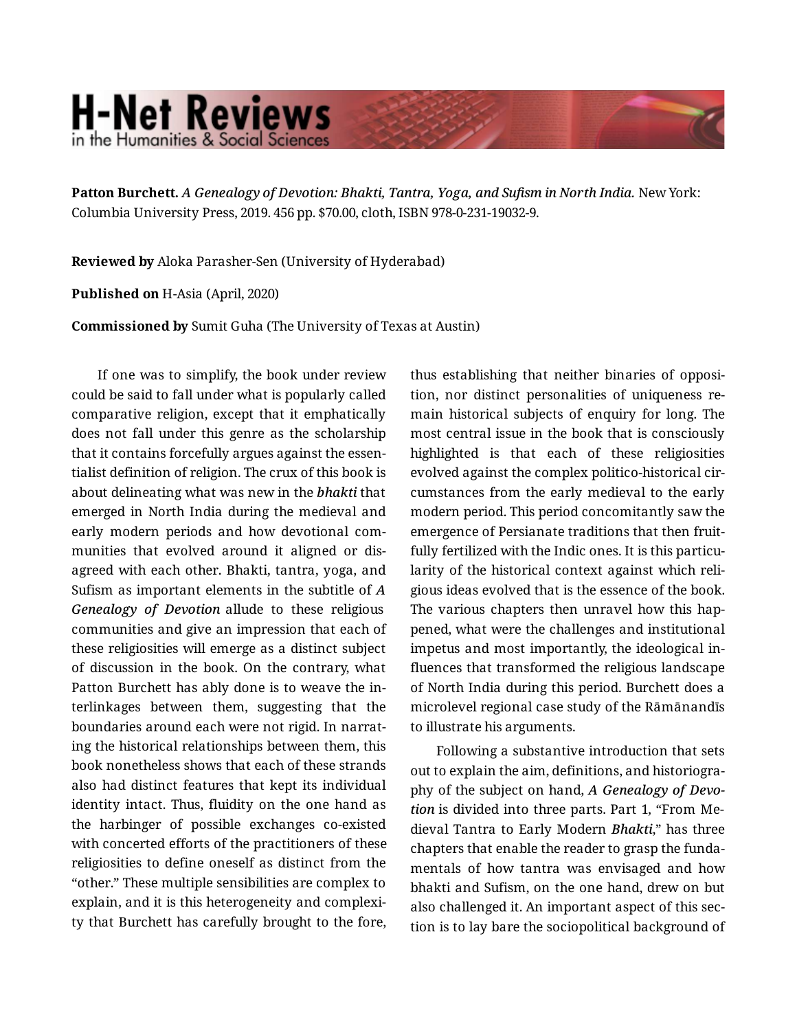## **H-Net Reviews** in the Humanities & Social Scienc

**Patton Burchett.** *A Genealogy of Devotion: Bhakti, Tantra, Yoga, and Sufism in North India.* New York: Columbia University Press, 2019. 456 pp. \$70.00, cloth, ISBN 978-0-231-19032-9.

**Reviewed by** Aloka Parasher-Sen (University of Hyderabad)

**Published on** H-Asia (April, 2020)

**Commissioned by** Sumit Guha (The University of Texas at Austin)

If one was to simplify, the book under review could be said to fall under what is popularly called comparative religion, except that it emphatically does not fall under this genre as the scholarship that it contains forcefully argues against the essen‐ tialist definition of religion. The crux of this book is about delineating what was new in the *bhakti* that emerged in North India during the medieval and early modern periods and how devotional com‐ munities that evolved around it aligned or dis‐ agreed with each other. Bhakti, tantra, yoga, and Sufism as important elements in the subtitle of *A Genealogy of Devotion* allude to these religious communities and give an impression that each of these religiosities will emerge as a distinct subject of discussion in the book. On the contrary, what Patton Burchett has ably done is to weave the in‐ terlinkages between them, suggesting that the boundaries around each were not rigid. In narrat‐ ing the historical relationships between them, this book nonetheless shows that each of these strands also had distinct features that kept its individual identity intact. Thus, fluidity on the one hand as the harbinger of possible exchanges co-existed with concerted efforts of the practitioners of these religiosities to define oneself as distinct from the "other." These multiple sensibilities are complex to explain, and it is this heterogeneity and complexi‐ ty that Burchett has carefully brought to the fore,

thus establishing that neither binaries of opposi‐ tion, nor distinct personalities of uniqueness re‐ main historical subjects of enquiry for long. The most central issue in the book that is consciously highlighted is that each of these religiosities evolved against the complex politico-historical cir‐ cumstances from the early medieval to the early modern period. This period concomitantly saw the emergence of Persianate traditions that then fruit‐ fully fertilized with the Indic ones. It is this particularity of the historical context against which reli‐ gious ideas evolved that is the essence of the book. The various chapters then unravel how this happened, what were the challenges and institutional impetus and most importantly, the ideological in‐ fluences that transformed the religious landscape of North India during this period. Burchett does a microlevel regional case study of the Rāmānandīs to illustrate his arguments.

Following a substantive introduction that sets out to explain the aim, definitions, and historiogra‐ phy of the subject on hand, *A Genealogy of Devo‐ tion* is divided into three parts. Part 1, "From Me‐ dieval Tantra to Early Modern *Bhakti*," has three chapters that enable the reader to grasp the funda‐ mentals of how tantra was envisaged and how bhakti and Sufism, on the one hand, drew on but also challenged it. An important aspect of this sec‐ tion is to lay bare the sociopolitical background of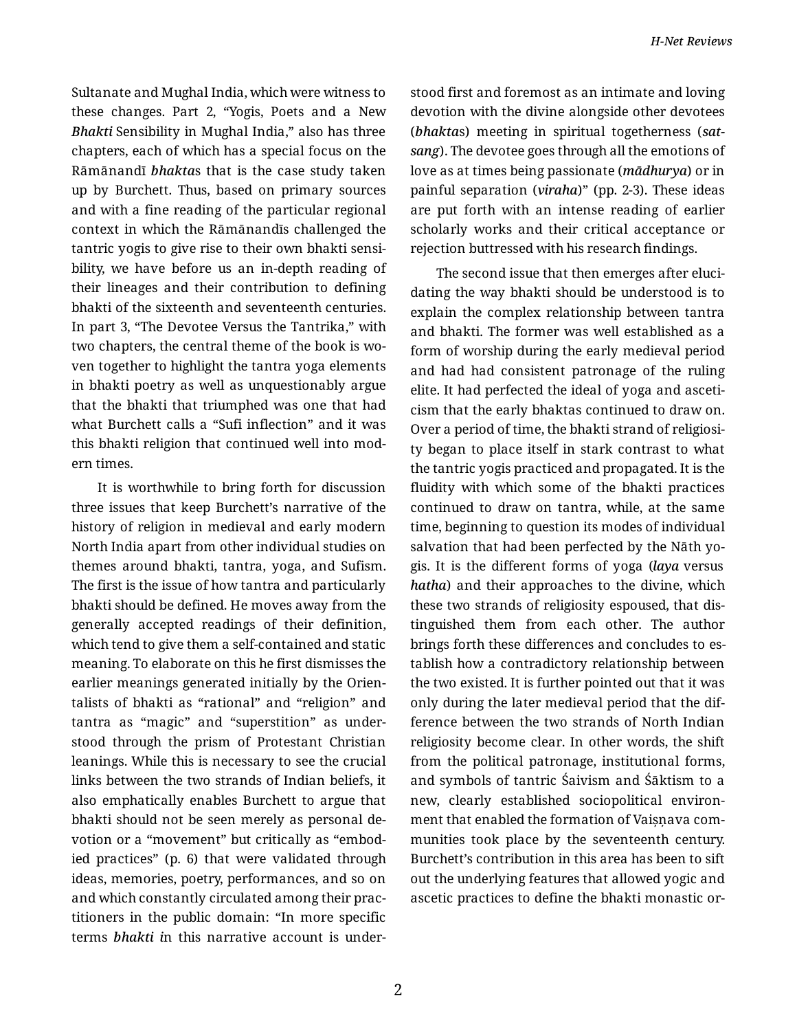Sultanate and Mughal India, which were witness to these changes. Part 2, "Yogis, Poets and a New *Bhakti* Sensibility in Mughal India," also has three chapters, each of which has a special focus on the Rāmānandī *bhakta*s that is the case study taken up by Burchett. Thus, based on primary sources and with a fine reading of the particular regional context in which the Rāmānandīs challenged the tantric yogis to give rise to their own bhakti sensi‐ bility, we have before us an in-depth reading of their lineages and their contribution to defining bhakti of the sixteenth and seventeenth centuries. In part 3, "The Devotee Versus the Tantrika," with two chapters, the central theme of the book is wo‐ ven together to highlight the tantra yoga elements in bhakti poetry as well as unquestionably argue that the bhakti that triumphed was one that had what Burchett calls a "Sufi inflection" and it was this bhakti religion that continued well into mod‐ ern times.

It is worthwhile to bring forth for discussion three issues that keep Burchett's narrative of the history of religion in medieval and early modern North India apart from other individual studies on themes around bhakti, tantra, yoga, and Sufism. The first is the issue of how tantra and particularly bhakti should be defined. He moves away from the generally accepted readings of their definition, which tend to give them a self-contained and static meaning. To elaborate on this he first dismisses the earlier meanings generated initially by the Orien‐ talists of bhakti as "rational" and "religion" and tantra as "magic" and "superstition" as under‐ stood through the prism of Protestant Christian leanings. While this is necessary to see the crucial links between the two strands of Indian beliefs, it also emphatically enables Burchett to argue that bhakti should not be seen merely as personal de‐ votion or a "movement" but critically as "embod‐ ied practices" (p. 6) that were validated through ideas, memories, poetry, performances, and so on and which constantly circulated among their prac‐ titioners in the public domain: "In more specific terms *bhakti i*n this narrative account is under‐

stood first and foremost as an intimate and loving devotion with the divine alongside other devotees (*bhakta*s) meeting in spiritual togetherness (*sat‐ sang*). The devotee goes through all the emotions of love as at times being passionate (*mādhurya*) or in painful separation (*viraha*)" (pp. 2-3). These ideas are put forth with an intense reading of earlier scholarly works and their critical acceptance or rejection buttressed with his research findings.

The second issue that then emerges after eluci‐ dating the way bhakti should be understood is to explain the complex relationship between tantra and bhakti. The former was well established as a form of worship during the early medieval period and had had consistent patronage of the ruling elite. It had perfected the ideal of yoga and asceti‐ cism that the early bhaktas continued to draw on. Over a period of time, the bhakti strand of religiosi‐ ty began to place itself in stark contrast to what the tantric yogis practiced and propagated. It is the fluidity with which some of the bhakti practices continued to draw on tantra, while, at the same time, beginning to question its modes of individual salvation that had been perfected by the Nāth yo‐ gis. It is the different forms of yoga (*laya* versus *hatha*) and their approaches to the divine, which these two strands of religiosity espoused, that dis‐ tinguished them from each other. The author brings forth these differences and concludes to es‐ tablish how a contradictory relationship between the two existed. It is further pointed out that it was only during the later medieval period that the dif‐ ference between the two strands of North Indian religiosity become clear. In other words, the shift from the political patronage, institutional forms, and symbols of tantric Śaivism and Śāktism to a new, clearly established sociopolitical environ‐ ment that enabled the formation of Vaișņava com‐ munities took place by the seventeenth century. Burchett's contribution in this area has been to sift out the underlying features that allowed yogic and ascetic practices to define the bhakti monastic or‐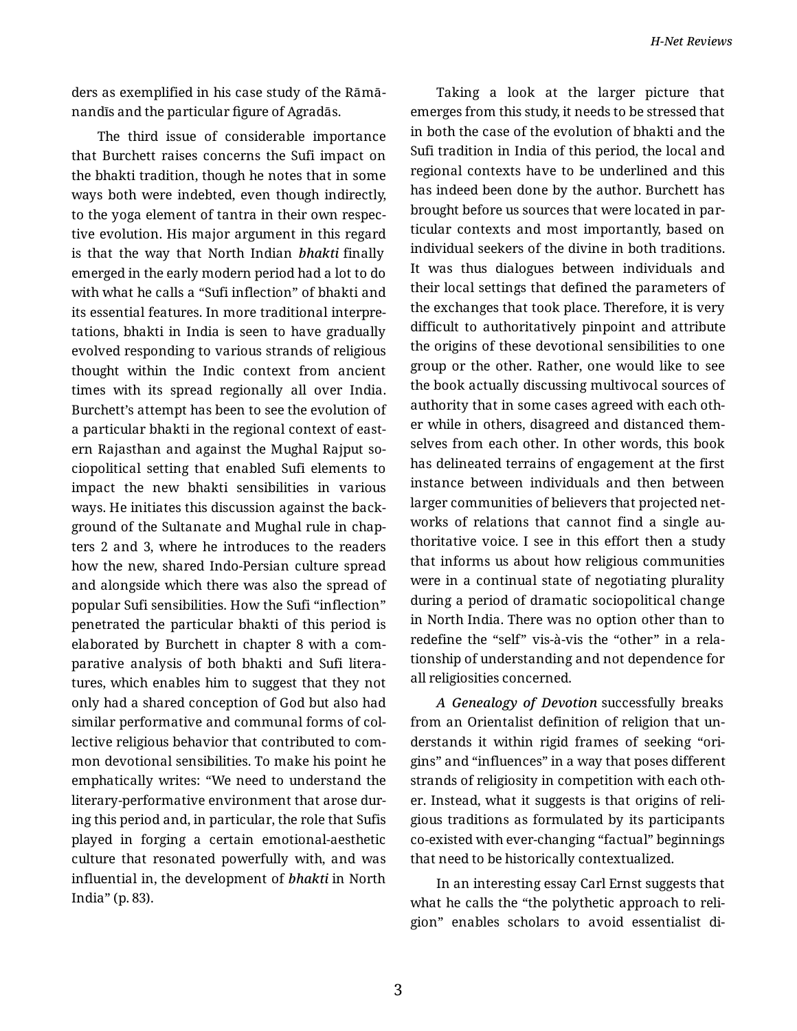ders as exemplified in his case study of the Rāmā‐ nandīs and the particular figure of Agradās.

The third issue of considerable importance that Burchett raises concerns the Sufi impact on the bhakti tradition, though he notes that in some ways both were indebted, even though indirectly, to the yoga element of tantra in their own respec‐ tive evolution. His major argument in this regard is that the way that North Indian *bhakti* finally emerged in the early modern period had a lot to do with what he calls a "Sufi inflection" of bhakti and its essential features. In more traditional interpre‐ tations, bhakti in India is seen to have gradually evolved responding to various strands of religious thought within the Indic context from ancient times with its spread regionally all over India. Burchett's attempt has been to see the evolution of a particular bhakti in the regional context of east‐ ern Rajasthan and against the Mughal Rajput so‐ ciopolitical setting that enabled Sufi elements to impact the new bhakti sensibilities in various ways. He initiates this discussion against the back‐ ground of the Sultanate and Mughal rule in chap‐ ters 2 and 3, where he introduces to the readers how the new, shared Indo-Persian culture spread and alongside which there was also the spread of popular Sufi sensibilities. How the Sufi "inflection" penetrated the particular bhakti of this period is elaborated by Burchett in chapter 8 with a com‐ parative analysis of both bhakti and Sufi litera‐ tures, which enables him to suggest that they not only had a shared conception of God but also had similar performative and communal forms of col‐ lective religious behavior that contributed to com‐ mon devotional sensibilities. To make his point he emphatically writes: "We need to understand the literary-performative environment that arose dur‐ ing this period and, in particular, the role that Sufis played in forging a certain emotional-aesthetic culture that resonated powerfully with, and was influential in, the development of *bhakti* in North India" (p. 83).

Taking a look at the larger picture that emerges from this study, it needs to be stressed that in both the case of the evolution of bhakti and the Sufi tradition in India of this period, the local and regional contexts have to be underlined and this has indeed been done by the author. Burchett has brought before us sources that were located in par‐ ticular contexts and most importantly, based on individual seekers of the divine in both traditions. It was thus dialogues between individuals and their local settings that defined the parameters of the exchanges that took place. Therefore, it is very difficult to authoritatively pinpoint and attribute the origins of these devotional sensibilities to one group or the other. Rather, one would like to see the book actually discussing multivocal sources of authority that in some cases agreed with each oth‐ er while in others, disagreed and distanced them‐ selves from each other. In other words, this book has delineated terrains of engagement at the first instance between individuals and then between larger communities of believers that projected net‐ works of relations that cannot find a single authoritative voice. I see in this effort then a study that informs us about how religious communities were in a continual state of negotiating plurality during a period of dramatic sociopolitical change in North India. There was no option other than to redefine the "self" vis-à-vis the "other" in a rela‐ tionship of understanding and not dependence for all religiosities concerned.

*A Genealogy of Devotion* successfully breaks from an Orientalist definition of religion that un‐ derstands it within rigid frames of seeking "ori‐ gins" and "influences" in a way that poses different strands of religiosity in competition with each oth‐ er. Instead, what it suggests is that origins of reli‐ gious traditions as formulated by its participants co-existed with ever-changing "factual" beginnings that need to be historically contextualized.

In an interesting essay Carl Ernst suggests that what he calls the "the polythetic approach to reli‐ gion" enables scholars to avoid essentialist di‐